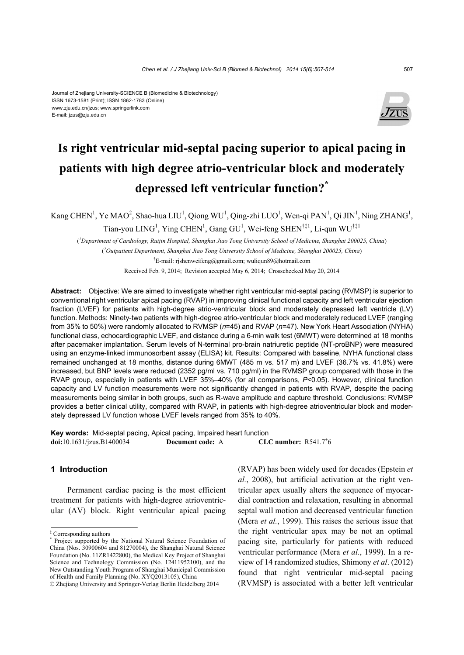#### Journal of Zhejiang University-SCIENCE B (Biomedicine & Biotechnology) ISSN 1673-1581 (Print); ISSN 1862-1783 (Online) www.zju.edu.cn/jzus; www.springerlink.com E-mail: jzus@zju.edu.cn



## **Is right ventricular mid-septal pacing superior to apical pacing in patients with high degree atrio-ventricular block and moderately depressed left ventricular function?\***

Kang CHEN<sup>1</sup>, Ye MAO<sup>2</sup>, Shao-hua LIU<sup>1</sup>, Qiong WU<sup>1</sup>, Qing-zhi LUO<sup>1</sup>, Wen-qi PAN<sup>1</sup>, Qi JIN<sup>1</sup>, Ning ZHANG<sup>1</sup>,

Tian-you  $LING<sup>1</sup>$ , Ying CHEN<sup>1</sup>, Gang GU<sup>1</sup>, Wei-feng SHEN<sup>†‡1</sup>, Li-qun WU<sup>†‡1</sup>

( *1 Department of Cardiology, Ruijin Hospital, Shanghai Jiao Tong University School of Medicine, Shanghai 200025, China*) ( *2 Outpatient Department, Shanghai Jiao Tong University School of Medicine, Shanghai 200025, China*)

† E-mail: rjshenweifeng@gmail.com; wuliqun89@hotmail.com Received Feb. 9, 2014; Revision accepted May 6, 2014; Crosschecked May 20, 2014

**Abstract:** Objective: We are aimed to investigate whether right ventricular mid-septal pacing (RVMSP) is superior to conventional right ventricular apical pacing (RVAP) in improving clinical functional capacity and left ventricular ejection fraction (LVEF) for patients with high-degree atrio-ventricular block and moderately depressed left ventricle (LV) function. Methods: Ninety-two patients with high-degree atrio-ventricular block and moderately reduced LVEF (ranging from 35% to 50%) were randomly allocated to RVMSP (*n*=45) and RVAP (*n*=47). New York Heart Association (NYHA) functional class, echocardiographic LVEF, and distance during a 6-min walk test (6MWT) were determined at 18 months after pacemaker implantation. Serum levels of N-terminal pro-brain natriuretic peptide (NT-proBNP) were measured using an enzyme-linked immunosorbent assay (ELISA) kit. Results: Compared with baseline, NYHA functional class remained unchanged at 18 months, distance during 6MWT (485 m vs. 517 m) and LVEF (36.7% vs. 41.8%) were increased, but BNP levels were reduced (2352 pg/ml vs. 710 pg/ml) in the RVMSP group compared with those in the RVAP group, especially in patients with LVEF 35%–40% (for all comparisons, *P*<0.05). However, clinical function capacity and LV function measurements were not significantly changed in patients with RVAP, despite the pacing measurements being similar in both groups, such as R-wave amplitude and capture threshold. Conclusions: RVMSP

provides a better clinical utility, compared with RVAP, in patients with high-degree atrioventricular block and moder-

**Key words:** Mid-septal pacing, Apical pacing, Impaired heart function **doi:**10.1631/jzus.B1400034 **Document code:** A CLC number:  $R541.7<sup>+</sup>6$ 

ately depressed LV function whose LVEF levels ranged from 35% to 40%.

### **1 Introduction**

Permanent cardiac pacing is the most efficient treatment for patients with high-degree atrioventricular (AV) block. Right ventricular apical pacing

‡ Corresponding authors \*

(RVAP) has been widely used for decades (Epstein *et al.*, 2008), but artificial activation at the right ventricular apex usually alters the sequence of myocardial contraction and relaxation, resulting in abnormal septal wall motion and decreased ventricular function (Mera *et al.*, 1999). This raises the serious issue that the right ventricular apex may be not an optimal pacing site, particularly for patients with reduced ventricular performance (Mera *et al.*, 1999). In a review of 14 randomized studies, Shimony *et al*. (2012) found that right ventricular mid-septal pacing (RVMSP) is associated with a better left ventricular

Project supported by the National Natural Science Foundation of China (Nos. 30900604 and 81270004), the Shanghai Natural Science Foundation (No. 11ZR1422800), the Medical Key Project of Shanghai Science and Technology Commission (No. 12411952100), and the New Outstanding Youth Program of Shanghai Municipal Commission of Health and Family Planning (No. XYQ2013105), China

<sup>©</sup> Zhejiang University and Springer-Verlag Berlin Heidelberg 2014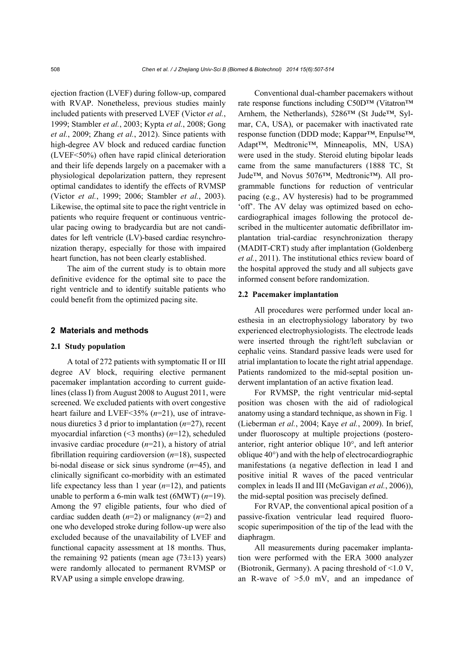ejection fraction (LVEF) during follow-up, compared with RVAP. Nonetheless, previous studies mainly included patients with preserved LVEF (Victor *et al.*, 1999; Stambler *et al.*, 2003; Kypta *et al.*, 2008; Gong *et al.*, 2009; Zhang *et al.*, 2012). Since patients with high-degree AV block and reduced cardiac function (LVEF<50%) often have rapid clinical deterioration and their life depends largely on a pacemaker with a physiological depolarization pattern, they represent optimal candidates to identify the effects of RVMSP (Victor *et al.*, 1999; 2006; Stambler *et al.*, 2003). Likewise, the optimal site to pace the right ventricle in patients who require frequent or continuous ventricular pacing owing to bradycardia but are not candidates for left ventricle (LV)-based cardiac resynchronization therapy, especially for those with impaired heart function, has not been clearly established.

The aim of the current study is to obtain more definitive evidence for the optimal site to pace the right ventricle and to identify suitable patients who could benefit from the optimized pacing site.

#### **2 Materials and methods**

#### **2.1 Study population**

A total of 272 patients with symptomatic II or III degree AV block, requiring elective permanent pacemaker implantation according to current guidelines (class I) from August 2008 to August 2011, were screened. We excluded patients with overt congestive heart failure and LVEF<35% (*n*=21), use of intravenous diuretics 3 d prior to implantation (*n*=27), recent myocardial infarction (<3 months) (*n*=12), scheduled invasive cardiac procedure (*n*=21), a history of atrial fibrillation requiring cardioversion (*n*=18), suspected bi-nodal disease or sick sinus syndrome (*n*=45), and clinically significant co-morbidity with an estimated life expectancy less than 1 year (*n*=12), and patients unable to perform a 6-min walk test (6MWT) (*n*=19). Among the 97 eligible patients, four who died of cardiac sudden death  $(n=2)$  or malignancy  $(n=2)$  and one who developed stroke during follow-up were also excluded because of the unavailability of LVEF and functional capacity assessment at 18 months. Thus, the remaining 92 patients (mean age  $(73\pm13)$  years) were randomly allocated to permanent RVMSP or RVAP using a simple envelope drawing.

Conventional dual-chamber pacemakers without rate response functions including C50D™ (Vitatron™ Arnhem, the Netherlands), 5286™ (St Jude™, Sylmar, CA, USA), or pacemaker with inactivated rate response function (DDD mode; Kappar™, Enpulse™, Adapt™, Medtronic™, Minneapolis, MN, USA) were used in the study. Steroid eluting bipolar leads came from the same manufacturers (1888 TC, St Jude™, and Novus 5076™, Medtronic™). All programmable functions for reduction of ventricular pacing (e.g., AV hysteresis) had to be programmed 'off'. The AV delay was optimized based on echocardiographical images following the protocol described in the multicenter automatic defibrillator implantation trial-cardiac resynchronization therapy (MADIT-CRT) study after implantation (Goldenberg *et al.*, 2011). The institutional ethics review board of the hospital approved the study and all subjects gave informed consent before randomization.

### **2.2 Pacemaker implantation**

All procedures were performed under local anesthesia in an electrophysiology laboratory by two experienced electrophysiologists. The electrode leads were inserted through the right/left subclavian or cephalic veins. Standard passive leads were used for atrial implantation to locate the right atrial appendage. Patients randomized to the mid-septal position underwent implantation of an active fixation lead.

For RVMSP, the right ventricular mid-septal position was chosen with the aid of radiological anatomy using a standard technique, as shown in Fig. 1 (Lieberman *et al.*, 2004; Kaye *et al.*, 2009). In brief, under fluoroscopy at multiple projections (posteroanterior, right anterior oblique 10°, and left anterior oblique 40°) and with the help of electrocardiographic manifestations (a negative deflection in lead I and positive initial R waves of the paced ventricular complex in leads II and III (McGavigan *et al.*, 2006)), the mid-septal position was precisely defined.

For RVAP, the conventional apical position of a passive-fixation ventricular lead required fluoroscopic superimposition of the tip of the lead with the diaphragm.

All measurements during pacemaker implantation were performed with the ERA 3000 analyzer (Biotronik, Germany). A pacing threshold of <1.0 V, an R-wave of  $>5.0$  mV, and an impedance of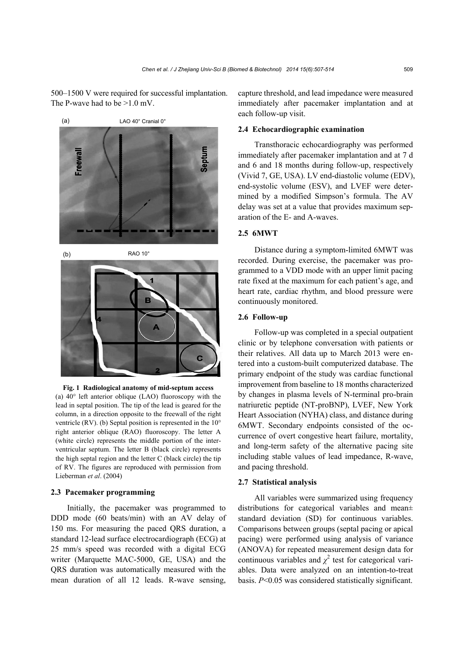500–1500 V were required for successful implantation. The P-wave had to be  $>1.0$  mV.





**Fig. 1 Radiological anatomy of mid-septum access**  (a) 40° left anterior oblique (LAO) fluoroscopy with the lead in septal position. The tip of the lead is geared for the column, in a direction opposite to the freewall of the right ventricle (RV). (b) Septal position is represented in the 10° right anterior oblique (RAO) fluoroscopy. The letter A (white circle) represents the middle portion of the interventricular septum. The letter B (black circle) represents the high septal region and the letter C (black circle) the tip of RV. The figures are reproduced with permission from Lieberman *et al*. (2004)

#### **2.3 Pacemaker programming**

Initially, the pacemaker was programmed to DDD mode (60 beats/min) with an AV delay of 150 ms. For measuring the paced QRS duration, a standard 12-lead surface electrocardiograph (ECG) at 25 mm/s speed was recorded with a digital ECG writer (Marquette MAC-5000, GE, USA) and the QRS duration was automatically measured with the mean duration of all 12 leads. R-wave sensing,

capture threshold, and lead impedance were measured immediately after pacemaker implantation and at each follow-up visit.

### **2.4 Echocardiographic examination**

Transthoracic echocardiography was performed immediately after pacemaker implantation and at 7 d and 6 and 18 months during follow-up, respectively (Vivid 7, GE, USA). LV end-diastolic volume (EDV), end-systolic volume (ESV), and LVEF were determined by a modified Simpson's formula. The AV delay was set at a value that provides maximum separation of the E- and A-waves.

## **2.5 6MWT**

Distance during a symptom-limited 6MWT was recorded. During exercise, the pacemaker was programmed to a VDD mode with an upper limit pacing rate fixed at the maximum for each patient's age, and heart rate, cardiac rhythm, and blood pressure were continuously monitored.

#### **2.6 Follow-up**

Follow-up was completed in a special outpatient clinic or by telephone conversation with patients or their relatives. All data up to March 2013 were entered into a custom-built computerized database. The primary endpoint of the study was cardiac functional improvement from baseline to 18 months characterized by changes in plasma levels of N-terminal pro-brain natriuretic peptide (NT-proBNP), LVEF, New York Heart Association (NYHA) class, and distance during 6MWT. Secondary endpoints consisted of the occurrence of overt congestive heart failure, mortality, and long-term safety of the alternative pacing site including stable values of lead impedance, R-wave, and pacing threshold.

#### **2.7 Statistical analysis**

All variables were summarized using frequency distributions for categorical variables and mean± standard deviation (SD) for continuous variables. Comparisons between groups (septal pacing or apical pacing) were performed using analysis of variance (ANOVA) for repeated measurement design data for continuous variables and  $\chi^2$  test for categorical variables. Data were analyzed on an intention-to-treat basis. *P*<0.05 was considered statistically significant.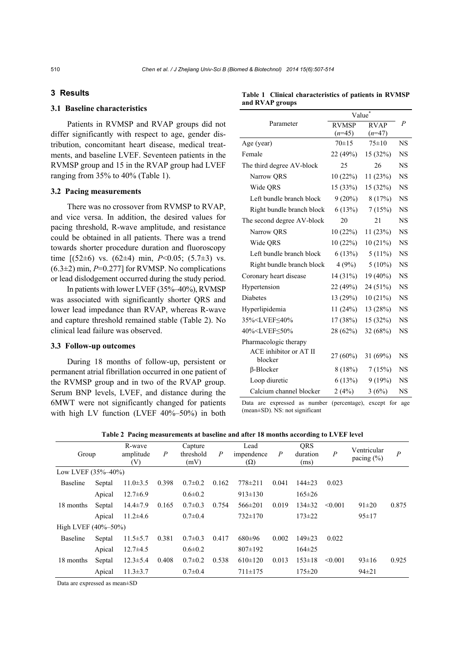## **3 Results**

## **3.1 Baseline characteristics**

Patients in RVMSP and RVAP groups did not differ significantly with respect to age, gender distribution, concomitant heart disease, medical treatments, and baseline LVEF. Seventeen patients in the RVMSP group and 15 in the RVAP group had LVEF ranging from 35% to 40% (Table 1).

### **3.2 Pacing measurements**

There was no crossover from RVMSP to RVAP, and vice versa. In addition, the desired values for pacing threshold, R-wave amplitude, and resistance could be obtained in all patients. There was a trend towards shorter procedure duration and fluoroscopy time [(52±6) vs. (62±4) min, *P*<0.05; (5.7±3) vs.  $(6.3\pm2)$  min,  $P=0.277$ ] for RVMSP. No complications or lead dislodgement occurred during the study period.

In patients with lower LVEF (35%–40%), RVMSP was associated with significantly shorter QRS and lower lead impedance than RVAP, whereas R-wave and capture threshold remained stable (Table 2). No clinical lead failure was observed.

#### **3.3 Follow-up outcomes**

During 18 months of follow-up, persistent or permanent atrial fibrillation occurred in one patient of the RVMSP group and in two of the RVAP group. Serum BNP levels, LVEF, and distance during the 6MWT were not significantly changed for patients with high LV function (LVEF 40%–50%) in both

|                                                                                      | Value <sup>*</sup> |             |                |
|--------------------------------------------------------------------------------------|--------------------|-------------|----------------|
| Parameter                                                                            | <b>RVMSP</b>       | <b>RVAP</b> | $\overline{P}$ |
|                                                                                      | $(n=45)$           | $(n=47)$    |                |
| Age (year)                                                                           | $70 + 15$          | $75 \pm 10$ | <b>NS</b>      |
| Female                                                                               | 22 (49%)           | 15 (32%)    | <b>NS</b>      |
| The third degree AV-block                                                            | 25                 | 26          | <b>NS</b>      |
| Narrow QRS                                                                           | 10(22%)            | 11(23%)     | NS             |
| Wide QRS                                                                             | 15(33%)            | 15(32%)     | <b>NS</b>      |
| Left bundle branch block                                                             | $9(20\%)$          | 8(17%)      | <b>NS</b>      |
| Right bundle branch block                                                            | 6(13%)             | 7(15%)      | NS             |
| The second degree AV-block                                                           | 20                 | 21          | <b>NS</b>      |
| Narrow QRS                                                                           | 10(22%)            | 11(23%)     | <b>NS</b>      |
| Wide QRS                                                                             | 10(22%)            | 10(21%)     | <b>NS</b>      |
| Left bundle branch block                                                             | 6(13%)             | $5(11\%)$   | <b>NS</b>      |
| Right bundle branch block                                                            | 4 (9%)             | $5(10\%)$   | <b>NS</b>      |
| Coronary heart disease                                                               | 14 (31%)           | $19(40\%)$  | NS             |
| Hypertension                                                                         | 22 (49%)           | 24 (51%)    | <b>NS</b>      |
| <b>Diabetes</b>                                                                      | 13 (29%)           | 10(21%)     | <b>NS</b>      |
| Hyperlipidemia                                                                       | 11(24%)            | 13 (28%)    | <b>NS</b>      |
| 35% <lvef≤40%< td=""><td>17(38%)</td><td>15(32%)</td><td>NS</td></lvef≤40%<>         | 17(38%)            | 15(32%)     | NS             |
| 40% <lvef≤50%< td=""><td>28 (62%)</td><td>32(68%)</td><td><b>NS</b></td></lvef≤50%<> | 28 (62%)           | 32(68%)     | <b>NS</b>      |
| Pharmacologic therapy                                                                |                    |             |                |
| ACE inhibitor or AT II<br>blocker                                                    | $27(60\%)$         | 31 (69%)    | NS             |
| $\beta$ -Blocker                                                                     | 8(18%)             | 7(15%)      | <b>NS</b>      |
| Loop diuretic                                                                        | 6(13%)             | 9(19%)      | <b>NS</b>      |
| Calcium channel blocker                                                              | 2(4%)              | 3(6%)       | NS             |

Data are expressed as number (percentage), except for age (mean±SD). NS: not significant

| Group               |        | R-wave<br>amplitude<br>(V) | $\boldsymbol{P}$ | Capture<br>threshold<br>(mV) | $\boldsymbol{P}$ | Lead<br>impendence<br>$(\Omega)$ | $\boldsymbol{P}$ | QRS<br>duration<br>(ms) | $\boldsymbol{P}$ | Ventricular<br>pacing $(\% )$ | $\boldsymbol{P}$ |
|---------------------|--------|----------------------------|------------------|------------------------------|------------------|----------------------------------|------------------|-------------------------|------------------|-------------------------------|------------------|
| Low LVEF (35%-40%)  |        |                            |                  |                              |                  |                                  |                  |                         |                  |                               |                  |
| Baseline            | Septal | $11.0 \pm 3.5$             | 0.398            | $0.7 \pm 0.2$                | 0.162            | $778 \pm 211$                    | 0.041            | $144\pm 23$             | 0.023            |                               |                  |
|                     | Apical | $12.7\pm 6.9$              |                  | $0.6 \pm 0.2$                |                  | $913 \pm 130$                    |                  | $165 \pm 26$            |                  |                               |                  |
| 18 months           | Septal | $14.4 \pm 7.9$             | 0.165            | $0.7 \pm 0.3$                | 0.754            | $566 \pm 201$                    | 0.019            | $134 \pm 32$            | < 0.001          | $91 \pm 20$                   | 0.875            |
|                     | Apical | $11.2\pm4.6$               |                  | $0.7 \pm 0.4$                |                  | $732 \pm 170$                    |                  | $173 \pm 22$            |                  | $95 \pm 17$                   |                  |
| High LVEF (40%-50%) |        |                            |                  |                              |                  |                                  |                  |                         |                  |                               |                  |
| Baseline            | Septal | $11.5 \pm 5.7$             | 0.381            | $0.7 \pm 0.3$                | 0.417            | $680+96$                         | 0.002            | $149 \pm 23$            | 0.022            |                               |                  |
|                     | Apical | $12.7\pm4.5$               |                  | $0.6 \pm 0.2$                |                  | $807 \pm 192$                    |                  | $164 \pm 25$            |                  |                               |                  |
| 18 months           | Septal | $12.3 \pm 5.4$             | 0.408            | $0.7 \pm 0.2$                | 0.538            | $610\pm120$                      | 0.013            | $153 \pm 18$            | < 0.001          | $93 \pm 16$                   | 0.925            |
|                     | Apical | $11.3 \pm 3.7$             |                  | $0.7 \pm 0.4$                |                  | $711 \pm 175$                    |                  | $175 \pm 20$            |                  | $94\pm21$                     |                  |

**Table 2 Pacing measurements at baseline and after 18 months according to LVEF level**

Data are expressed as mean±SD

| Table 1 Clinical characteristics of patients in RVMSP |  |  |
|-------------------------------------------------------|--|--|
| and RVAP groups                                       |  |  |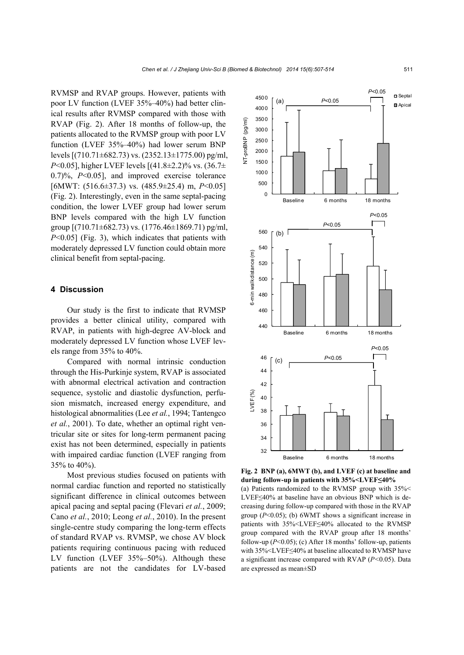RVMSP and RVAP groups. However, patients with poor LV function (LVEF 35%–40%) had better clinical results after RVMSP compared with those with RVAP (Fig. 2). After 18 months of follow-up, the patients allocated to the RVMSP group with poor LV function (LVEF 35%–40%) had lower serum BNP levels [(710.71±682.73) vs. (2352.13±1775.00) pg/ml, *P*<0.05], higher LVEF levels [(41.8±2.2)% vs. (36.7± 0.7)%, *P*<0.05], and improved exercise tolerance [6MWT: (516.6±37.3) vs. (485.9±25.4) m, *P*<0.05] (Fig. 2). Interestingly, even in the same septal-pacing condition, the lower LVEF group had lower serum BNP levels compared with the high LV function group  $[(710.71 \pm 682.73)$  vs.  $(1776.46 \pm 1869.71)$  pg/ml, *P*<0.05] (Fig. 3), which indicates that patients with moderately depressed LV function could obtain more clinical benefit from septal-pacing.

#### **4 Discussion**

Our study is the first to indicate that RVMSP provides a better clinical utility, compared with RVAP, in patients with high-degree AV-block and moderately depressed LV function whose LVEF levels range from 35% to 40%.

Compared with normal intrinsic conduction through the His-Purkinje system, RVAP is associated with abnormal electrical activation and contraction sequence, systolic and diastolic dysfunction, perfusion mismatch, increased energy expenditure, and histological abnormalities (Lee *et al.*, 1994; Tantengco *et al.*, 2001). To date, whether an optimal right ventricular site or sites for long-term permanent pacing exist has not been determined, especially in patients with impaired cardiac function (LVEF ranging from 35% to 40%).

Most previous studies focused on patients with normal cardiac function and reported no statistically significant difference in clinical outcomes between apical pacing and septal pacing (Flevari *et al.*, 2009; Cano *et al.*, 2010; Leong *et al.*, 2010). In the present single-centre study comparing the long-term effects of standard RVAP vs. RVMSP, we chose AV block patients requiring continuous pacing with reduced LV function (LVEF 35%–50%). Although these patients are not the candidates for LV-based



**Fig. 2 BNP (a), 6MWT (b), and LVEF (c) at baseline and during follow-up in patients with 35%<LVEF≤40%** 

(a) Patients randomized to the RVMSP group with 35%< LVEF≤40% at baseline have an obvious BNP which is decreasing during follow-up compared with those in the RVAP group (*P*<0.05); (b) 6WMT shows a significant increase in patients with 35%<LVEF≤40% allocated to the RVMSP group compared with the RVAP group after 18 months' follow-up (*P*<0.05); (c) After 18 months' follow-up, patients with 35%<LVEF≤40% at baseline allocated to RVMSP have a significant increase compared with RVAP (*P<*0.05). Data are expressed as mean±SD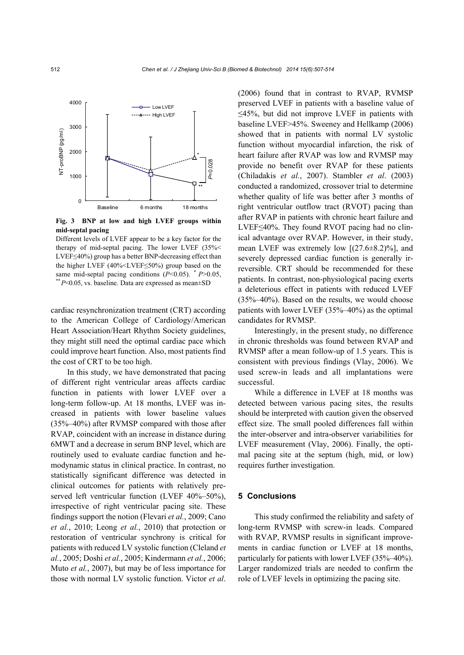

**Fig. 3 BNP at low and high LVEF groups within mid-septal pacing** 

Different levels of LVEF appear to be a key factor for the therapy of mid-septal pacing. The lower LVEF (35%< LVEF≤40%) group has a better BNP-decreasing effect than the higher LVEF (40%<LVEF≤50%) group based on the same mid-septal pacing conditions (*P*<0.05). *\* P*>0.05, *\*\* P*<0.05, vs. baseline. Data are expressed as mean±SD

cardiac resynchronization treatment (CRT) according to the American College of Cardiology/American Heart Association/Heart Rhythm Society guidelines, they might still need the optimal cardiac pace which could improve heart function. Also, most patients find the cost of CRT to be too high.

In this study, we have demonstrated that pacing of different right ventricular areas affects cardiac function in patients with lower LVEF over a long-term follow-up. At 18 months, LVEF was increased in patients with lower baseline values (35%–40%) after RVMSP compared with those after RVAP, coincident with an increase in distance during 6MWT and a decrease in serum BNP level, which are routinely used to evaluate cardiac function and hemodynamic status in clinical practice. In contrast, no statistically significant difference was detected in clinical outcomes for patients with relatively preserved left ventricular function (LVEF 40%–50%), irrespective of right ventricular pacing site. These findings support the notion (Flevari *et al.*, 2009; Cano *et al.*, 2010; Leong *et al.*, 2010) that protection or restoration of ventricular synchrony is critical for patients with reduced LV systolic function (Cleland *et al.*, 2005; Doshi *et al.*, 2005; Kindermann *et al.*, 2006; Muto *et al.*, 2007), but may be of less importance for those with normal LV systolic function. Victor *et al*.

(2006) found that in contrast to RVAP, RVMSP preserved LVEF in patients with a baseline value of ≤45%, but did not improve LVEF in patients with baseline LVEF>45%. Sweeney and Hellkamp (2006) showed that in patients with normal LV systolic function without myocardial infarction, the risk of heart failure after RVAP was low and RVMSP may provide no benefit over RVAP for these patients (Chiladakis *et al.*, 2007). Stambler *et al*. (2003) conducted a randomized, crossover trial to determine whether quality of life was better after 3 months of right ventricular outflow tract (RVOT) pacing than after RVAP in patients with chronic heart failure and LVEF≤40%. They found RVOT pacing had no clinical advantage over RVAP. However, in their study, mean LVEF was extremely low [(27.6±8.2)%], and severely depressed cardiac function is generally irreversible. CRT should be recommended for these patients. In contrast, non-physiological pacing exerts a deleterious effect in patients with reduced LVEF (35%–40%). Based on the results, we would choose patients with lower LVEF (35%–40%) as the optimal candidates for RVMSP.

Interestingly, in the present study, no difference in chronic thresholds was found between RVAP and RVMSP after a mean follow-up of 1.5 years. This is consistent with previous findings (Vlay, 2006). We used screw-in leads and all implantations were successful.

While a difference in LVEF at 18 months was detected between various pacing sites, the results should be interpreted with caution given the observed effect size. The small pooled differences fall within the inter-observer and intra-observer variabilities for LVEF measurement (Vlay, 2006). Finally, the optimal pacing site at the septum (high, mid, or low) requires further investigation.

#### **5 Conclusions**

This study confirmed the reliability and safety of long-term RVMSP with screw-in leads. Compared with RVAP, RVMSP results in significant improvements in cardiac function or LVEF at 18 months, particularly for patients with lower LVEF (35%–40%). Larger randomized trials are needed to confirm the role of LVEF levels in optimizing the pacing site.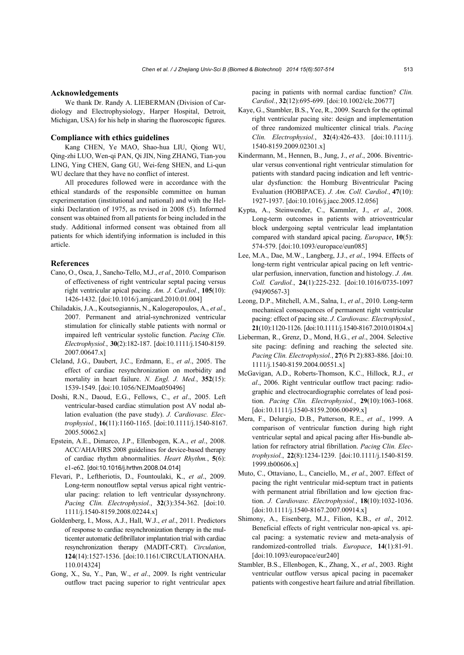#### **Acknowledgements**

We thank Dr. Randy A. LIEBERMAN (Division of Cardiology and Electrophysiology, Harper Hospital, Detroit, Michigan, USA) for his help in sharing the fluoroscopic figures.

#### **Compliance with ethics guidelines**

Kang CHEN, Ye MAO, Shao-hua LIU, Qiong WU, Qing-zhi LUO, Wen-qi PAN, Qi JIN, Ning ZHANG, Tian-you LING, Ying CHEN, Gang GU, Wei-feng SHEN, and Li-qun WU declare that they have no conflict of interest.

All procedures followed were in accordance with the ethical standards of the responsible committee on human experimentation (institutional and national) and with the Helsinki Declaration of 1975, as revised in 2008 (5). Informed consent was obtained from all patients for being included in the study. Additional informed consent was obtained from all patients for which identifying information is included in this article.

#### **References**

- Cano, O., Osca, J., Sancho-Tello, M.J., *et al*., 2010. Comparison of effectiveness of right ventricular septal pacing versus right ventricular apical pacing. *Am. J. Cardiol.*, **105**(10): 1426-1432. [doi:10.1016/j.amjcard.2010.01.004]
- Chiladakis, J.A., Koutsogiannis, N., Kalogeropoulos, A., *et al*., 2007. Permanent and atrial-synchronized ventricular stimulation for clinically stable patients with normal or impaired left ventricular systolic function. *Pacing Clin. Electrophysiol.*, **30**(2):182-187. [doi:10.1111/j.1540-8159. 2007.00647.x]
- Cleland, J.G., Daubert, J.C., Erdmann, E., *et al*., 2005. The effect of cardiac resynchronization on morbidity and mortality in heart failure. *N. Engl. J. Med.*, **352**(15): 1539-1549. [doi:10.1056/NEJMoa050496]
- Doshi, R.N., Daoud, E.G., Fellows, C., *et al*., 2005. Left ventricular-based cardiac stimulation post AV nodal ablation evaluation (the pave study). *J. Cardiovasc. Electrophysiol.*, **16**(11):1160-1165. [doi:10.1111/j.1540-8167. 2005.50062.x]
- Epstein, A.E., Dimarco, J.P., Ellenbogen, K.A., *et al*., 2008. ACC/AHA/HRS 2008 guidelines for device-based therapy of cardiac rhythm abnormalities. *Heart Rhythm.*, **5**(6): e1-e62. [doi:10.1016/j.hrthm.2008.04.014]
- Flevari, P., Leftheriotis, D., Fountoulaki, K., *et al*., 2009. Long-term nonoutflow septal versus apical right ventricular pacing: relation to left ventricular dyssynchrony. *Pacing Clin. Electrophysiol.*, **32**(3):354-362. [doi:10. 1111/j.1540-8159.2008.02244.x]
- Goldenberg, I., Moss, A.J., Hall, W.J., *et al*., 2011. Predictors of response to cardiac resynchronization therapy in the multicenter automatic defibrillator implantation trial with cardiac resynchronization therapy (MADIT-CRT). *Circulation*, **124**(14):1527-1536. [doi:10.1161/CIRCULATIONAHA. 110.014324]
- Gong, X., Su, Y., Pan, W., *et al*., 2009. Is right ventricular outflow tract pacing superior to right ventricular apex

pacing in patients with normal cardiac function? *Clin. Cardiol.*, **32**(12):695-699. [doi:10.1002/clc.20677]

- Kaye, G., Stambler, B.S., Yee, R., 2009. Search for the optimal right ventricular pacing site: design and implementation of three randomized multicenter clinical trials. *Pacing Clin. Electrophysiol.*, **32**(4):426-433. [doi:10.1111/j. 1540-8159.2009.02301.x]
- Kindermann, M., Hennen, B., Jung, J., *et al*., 2006. Biventricular versus conventional right ventricular stimulation for patients with standard pacing indication and left ventricular dysfunction: the Homburg Biventricular Pacing Evaluation (HOBIPACE). *J. Am. Coll. Cardiol.*, **47**(10): 1927-1937. [doi:10.1016/j.jacc.2005.12.056]
- Kypta, A., Steinwender, C., Kammler, J., *et al*., 2008. Long-term outcomes in patients with atrioventricular block undergoing septal ventricular lead implantation compared with standard apical pacing. *Europace*, **10**(5): 574-579. [doi:10.1093/europace/eun085]
- Lee, M.A., Dae, M.W., Langberg, J.J., *et al*., 1994. Effects of long-term right ventricular apical pacing on left ventricular perfusion, innervation, function and histology. *J. Am. Coll. Cardiol.*, **24**(1):225-232. [doi:10.1016/0735-1097 (94)90567-3]
- Leong, D.P., Mitchell, A.M., Salna, I., *et al*., 2010. Long-term mechanical consequences of permanent right ventricular pacing: effect of pacing site. *J. Cardiovasc. Electrophysiol.*, **21**(10):1120-1126. [doi:10.1111/j.1540-8167.2010.01804.x]
- Lieberman, R., Grenz, D., Mond, H.G., *et al*., 2004. Selective site pacing: defining and reaching the selected site. *Pacing Clin. Electrophysiol.*, **27**(6 Pt 2):883-886. [doi:10. 1111/j.1540-8159.2004.00551.x]
- McGavigan, A.D., Roberts-Thomson, K.C., Hillock, R.J., *et al*., 2006. Right ventricular outflow tract pacing: radiographic and electrocardiographic correlates of lead position. *Pacing Clin. Electrophysiol.*, **29**(10):1063-1068. [doi:10.1111/j.1540-8159.2006.00499.x]
- Mera, F., Delurgio, D.B., Patterson, R.E., *et al*., 1999. A comparison of ventricular function during high right ventricular septal and apical pacing after His-bundle ablation for refractory atrial fibrillation. *Pacing Clin. Electrophysiol.*, **22**(8):1234-1239. [doi:10.1111/j.1540-8159. 1999.tb00606.x]
- Muto, C., Ottaviano, L., Canciello, M., *et al*., 2007. Effect of pacing the right ventricular mid-septum tract in patients with permanent atrial fibrillation and low ejection fraction. *J. Cardiovasc. Electrophysiol.*, **18**(10):1032-1036. [doi:10.1111/j.1540-8167.2007.00914.x]
- Shimony, A., Eisenberg, M.J., Filion, K.B., *et al*., 2012. Beneficial effects of right ventricular non-apical vs. apical pacing: a systematic review and meta-analysis of randomized-controlled trials. *Europace*, **14**(1):81-91. [doi:10.1093/europace/eur240]
- Stambler, B.S., Ellenbogen, K., Zhang, X., *et al*., 2003. Right ventricular outflow versus apical pacing in pacemaker patients with congestive heart failure and atrial fibrillation.